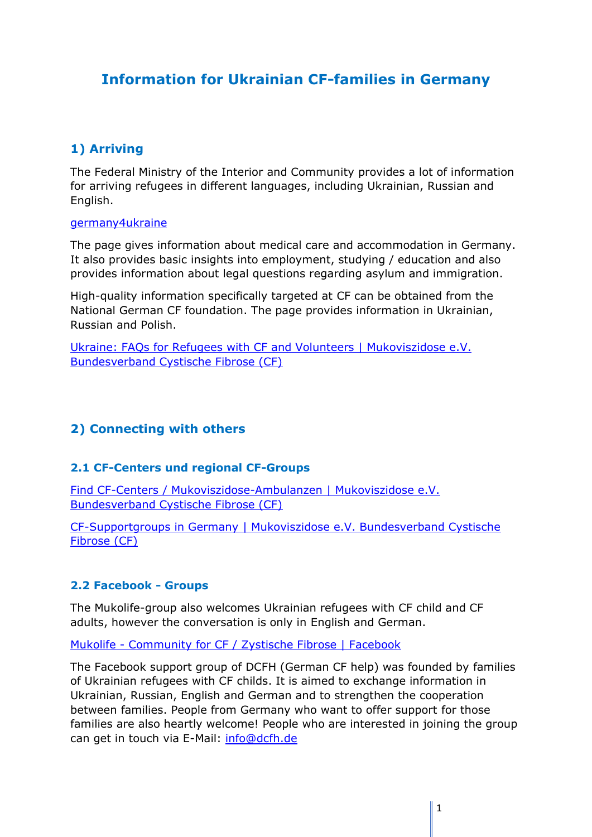# **Information for Ukrainian CF-families in Germany**

# **1) Arriving**

The Federal Ministry of the Interior and Community provides a lot of information for arriving refugees in different languages, including Ukrainian, Russian and English.

#### [germany4ukraine](https://www.germany4ukraine.de/hilfeportal-de)

The page gives information about medical care and accommodation in Germany. It also provides basic insights into employment, studying / education and also provides information about legal questions regarding asylum and immigration.

High-quality information specifically targeted at CF can be obtained from the National German CF foundation. The page provides information in Ukrainian, Russian and Polish.

Ukraine: FAQs for Refugees with CF and Volunteers [| Mukoviszidose e.V.](https://www.muko.info/spendenhelfen/ukrainehilfe/ukraine-faqs)  [Bundesverband Cystische Fibrose \(CF\)](https://www.muko.info/spendenhelfen/ukrainehilfe/ukraine-faqs)

# **2) Connecting with others**

### **2.1 CF-Centers und regional CF-Groups**

Find CF-Centers [/ Mukoviszidose-Ambulanzen](https://www.muko.info/adressen/cf-einrichtungen) | Mukoviszidose e.V. [Bundesverband Cystische Fibrose \(CF\)](https://www.muko.info/adressen/cf-einrichtungen)

CF-Supportgroups in Germany [| Mukoviszidose e.V. Bundesverband Cystische](https://www.muko.info/adressen/selbsthilfegruppen)  [Fibrose \(CF\)](https://www.muko.info/adressen/selbsthilfegruppen)

### **2.2 Facebook - Groups**

The Mukolife-group also welcomes Ukrainian refugees with CF child and CF adults, however the conversation is only in English and German.

Mukolife - Community for CF [/ Zystische Fibrose | Facebook](https://www.facebook.com/groups/mukoviszidose)

The Facebook support group of DCFH (German CF help) was founded by families of Ukrainian refugees with CF childs. It is aimed to exchange information in Ukrainian, Russian, English and German and to strengthen the cooperation between families. People from Germany who want to offer support for those families are also heartly welcome! People who are interested in joining the group can get in touch via E-Mail: [info@dcfh.de](mailto:info@dcfh.de)